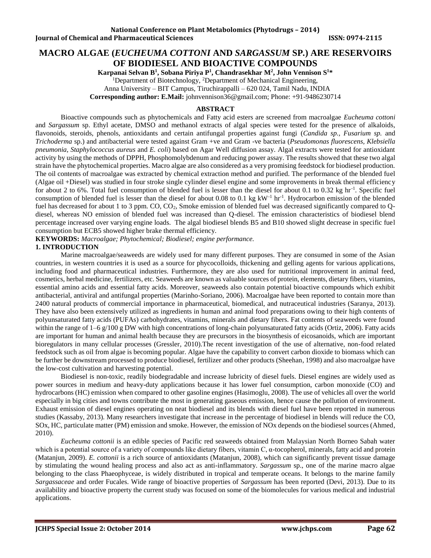# **MACRO ALGAE (***EUCHEUMA COTTONI* **AND** *SARGASSUM* **SP***.***) ARE RESERVOIRS OF BIODIESEL AND BIOACTIVE COMPOUNDS**

**Karpanai Selvan B 1 , Sobana Piriya P 1 , Chandrasekhar M<sup>2</sup> , John Vennison S 1\***

<sup>1</sup>Department of Biotechnology, <sup>2</sup>Department of Mechanical Engineering,

Anna University – BIT Campus, Tiruchirappalli – 620 024, Tamil Nadu, INDIA

**Corresponding author: E.Mail:** [johnvennison36@gmail.com;](mailto:johnvennison36@gmail.com) Phone: +91-9486230714

# **ABSTRACT**

Bioactive compounds such as phytochemicals and Fatty acid esters are screened from macroalgae *Eucheuma cottoni* and *Sargassum* sp. Ethyl acetate, DMSO and methanol extracts of algal species were tested for the presence of alkaloids, flavonoids, steroids, phenols, antioxidants and certain antifungal properties against fungi (*Candida sp., Fusarium sp.* and *Trichoderma* sp.) and antibacterial were tested against Gram +ve and Gram -ve bacteria (*Pseudomonas fluorescens, Klebsiella pneumonia, Staphylococcus aureus* and *E. coli*) based on Agar Well diffusion assay. Algal extracts were tested for antioxidant activity by using the methods of DPPH, Phosphomolybdenum and reducing power assay. The results showed that these two algal strain have the phytochemical properties. Macro algae are also considered as a very promising feedstock for biodiesel production. The oil contents of macroalgae was extracted by chemical extraction method and purified. The performance of the blended fuel (Algae oil +Diesel) was studied in four stroke single cylinder diesel engine and some improvements in break thermal efficiency for about 2 to 6%. Total fuel consumption of blended fuel is lesser than the diesel for about 0.1 to 0.32 kg hr<sup>-1</sup>. Specific fuel consumption of blended fuel is lesser than the diesel for about 0.08 to 0.1 kg kW<sup>-1</sup> hr<sup>-1</sup>. Hydrocarbon emission of the blended fuel has decreased for about 1 to 3 ppm. CO, CO2, Smoke emission of blended fuel was decreased significantly compared to Qdiesel, whereas NO emission of blended fuel was increased than Q-diesel. The emission characteristics of biodiesel blend percentage increased over varying engine loads. The algal biodiesel blends B5 and B10 showed slight decrease in specific fuel consumption but ECB5 showed higher brake thermal efficiency.

**KEYWORDS:** *Macroalgae; Phytochemical; Biodiesel; engine performance.*

### **1. INTRODUCTION**

Marine macroalgae/seaweeds are widely used for many different purposes. They are consumed in some of the Asian countries, in western countries it is used as a source for phycocolloids, thickening and gelling agents for various applications, including food and pharmaceutical industries. Furthermore, they are also used for nutritional improvement in animal feed, cosmetics, herbal medicine, fertilizers, etc. Seaweeds are known as valuable sources of protein, elements, dietary fibers, vitamins, essential amino acids and essential fatty acids. Moreover, seaweeds also contain potential bioactive compounds which exhibit antibacterial, antiviral and antifungal properties (Marinho-Soriano, 2006). Macroalgae have been reported to contain more than 2400 natural products of commercial importance in pharmaceutical, biomedical, and nutraceutical industries (Saranya, 2013). They have also been extensively utilized as ingredients in human and animal food preparations owing to their high contents of polyunsaturated fatty acids (PUFAs) carbohydrates, vitamins, minerals and dietary fibers. Fat contents of seaweeds were found within the range of  $1-6$  g/100 g DW with high concentrations of long-chain polyunsaturated fatty acids (Ortiz, 2006). Fatty acids are important for human and animal health because they are precursors in the biosynthesis of eicosanoids, which are important bioregulators in many cellular processes (Gressler, 2010).The recent investigation of the use of alternative, non-food related feedstock such as oil from algae is becoming popular. Algae have the capability to convert carbon dioxide to biomass which can be further be downstream processed to produce biodiesel, fertilizer and other products (Sheehan, 1998) and also macroalgae have the low-cost cultivation and harvesting potential.

Biodiesel is non-toxic, readily biodegradable and increase lubricity of diesel fuels. Diesel engines are widely used as power sources in medium and heavy-duty applications because it has lower fuel consumption, carbon monoxide (CO) and hydrocarbons (HC) emission when compared to other gasoline engines (Hasimoglu, 2008). The use of vehicles all over the world especially in big cities and towns contribute the most in generating gaseous emission, hence cause the pollution of environment. Exhaust emission of diesel engines operating on neat biodiesel and its blends with diesel fuel have been reported in numerous studies (Kassaby, 2013). Many researchers investigate that increase in the percentage of biodiesel in blends will reduce the CO, SOx, HC, particulate matter (PM) emission and smoke. However, the emission of NOx depends on the biodiesel sources (Ahmed, 2010).

*Eucheuma cottonii* is an edible species of Pacific red seaweeds obtained from Malaysian North Borneo Sabah water which is a potential source of a variety of compounds like dietary fibers, vitamin C, α-tocopherol, minerals, fatty acid and protein (Matanjun, 2009). *E. cottonii* is a rich source of antioxidants (Matanjun, 2008), which can significantly prevent tissue damage by stimulating the wound healing process and also act as anti-inflammatory. *Sargassum* sp., one of the marine macro algae belonging to the class Phaeophyceae, is widely distributed in tropical and temperate oceans. It belongs to the marine family *Sargassaceae* and order Fucales. Wide range of bioactive properties of *Sargassum* has been reported (Devi, 2013). Due to its availability and bioactive property the current study was focused on some of the biomolecules for various medical and industrial applications.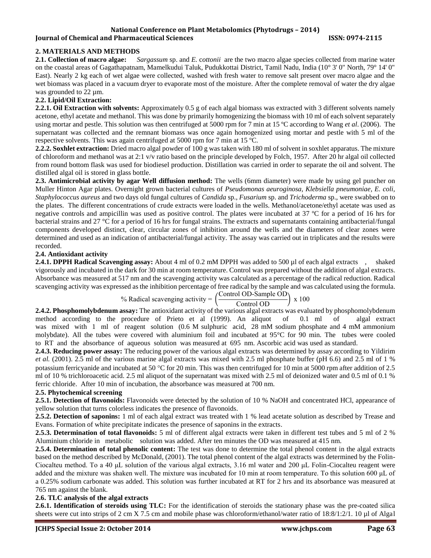# **2. MATERIALS AND METHODS**

**2.1. Collection of macro algae:** *Sargassum* sp. and *E.* c*ottonii* are the two macro algae species collected from marine water on the coastal areas of Gagathapatnam, Mamelkudui Taluk, Pudukkottai District, Tamil Nadu, India (10° 3' 0" North, 79° 14' 0" East). Nearly 2 kg each of wet algae were collected, washed with fresh water to remove salt present over macro algae and the wet biomass was placed in a vacuum dryer to evaporate most of the moisture. After the complete removal of water the dry algae was grounded to 22  $\mu$ m.

# **2.2. Lipid/Oil Extraction:**

**2.2.1. Oil Extraction with solvents:** Approximately 0.5 g of each algal biomass was extracted with 3 different solvents namely acetone, ethyl acetate and methanol. This was done by primarily homogenizing the biomass with 10 ml of each solvent separately using mortar and pestle. This solution was then centrifuged at 5000 rpm for 7 min at 15 ºC according to Wang *et al*. (2006). The supernatant was collected and the remnant biomass was once again homogenized using mortar and pestle with 5 ml of the respective solvents. This was again centrifuged at 5000 rpm for 7 min at 15 ºC.

**2.2.2. Soxhlet extraction:** Dried macro algal powder of 100 g was taken with 180 ml of solvent in soxhlet apparatus. The mixture of chloroform and methanol was at 2:1 v/v ratio based on the principle developed by Folch, 1957. After 20 hr algal oil collected from round bottom flask was used for biodiesel production. Distillation was carried in order to separate the oil and solvent. The distilled algal oil is stored in glass bottle.

**2.3. Antimicrobial activity by agar Well diffusion method:** The wells (6mm diameter) were made by using gel puncher on Muller Hinton Agar plates. Overnight grown bacterial cultures of *Pseudomonas aeuroginosa, Klebsiella pneumoniae, E. coli, Staphylococcus aureus* and two days old fungal cultures of *Candida* sp.*, Fusarium* sp. and *Trichoderma* sp., were swabbed on to the plates. The different concentrations of crude extracts were loaded in the wells. Methanol/acetone/ethyl acetate was used as negative controls and ampicillin was used as positive control. The plates were incubated at 37 ºC for a period of 16 hrs for bacterial strains and 27 °C for a period of 16 hrs for fungal strains. The extracts and supernatants containing antibacterial/fungal components developed distinct, clear, circular zones of inhibition around the wells and the diameters of clear zones were determined and used as an indication of antibacterial/fungal activity. The assay was carried out in triplicates and the results were recorded.

### **2.4. Antioxidant activity**

**2.4.1. DPPH Radical Scavenging assay:** About 4 ml of 0.2 mM DPPH was added to 500 µl of each algal extracts , vigorously and incubated in the dark for 30 min at room temperature. Control was prepared without the addition of algal extracts. Absorbance was measured at 517 nm and the scavenging activity was calculated as a percentage of the radical reduction. Radical scavenging activity was expressed as the inhibition percentage of free radical by the sample and was calculated using the formula.

% Radical scavenging activity  $=$ Control OD-Sample OD  $\frac{\text{Control OD}}{\text{Control OD}}$  x 100

**2.4.2. Phosphomolybdenum assay:** The antioxidant activity of the various algal extracts was evaluated by phosphomolybdenum method according to the procedure of Prieto et al (1999). An aliquot of 0.1 ml of algal extract was mixed with 1 ml of reagent solution (0.6 M sulphuric acid, 28 mM sodium phosphate and 4 mM ammonium molybdate). All the tubes were covered with aluminium foil and incubated at 95°C for 90 min. The tubes were cooled to RT and the absorbance of aqueous solution was measured at 695 nm. Ascorbic acid was used as standard.

**2.4.3. Reducing power assay:** The reducing power of the various algal extracts was determined by assay according to Yildirim *et al.* (2001). 2.5 ml of the various marine algal extracts was mixed with 2.5 ml phosphate buffer (pH 6.6) and 2.5 ml of 1 % potassium ferricyanide and incubated at 50 °C for 20 min. This was then centrifuged for 10 min at 5000 rpm after addition of 2.5 ml of 10 % trichloroacetic acid. 2.5 ml aliquot of the supernatant was mixed with 2.5 ml of deionized water and 0.5 ml of 0.1 % ferric chloride. After 10 min of incubation, the absorbance was measured at 700 nm.

# **2.5. Phytochemical screening**

**2.5.1. Detection of flavonoids:** Flavonoids were detected by the solution of 10 % NaOH and concentrated HCl, appearance of yellow solution that turns colorless indicates the presence of flavonoids.

**2.5.2. Detection of saponins:** 1 ml of each algal extract was treated with 1 % lead acetate solution as described by Trease and Evans. Formation of white precipitate indicates the presence of saponins in the extracts.

**2.5.3. Determination of total flavonoids:** 5 ml of different algal extracts were taken in different test tubes and 5 ml of 2 % Aluminium chloride in metabolic solution was added. After ten minutes the OD was measured at 415 nm.

**2.5.4. Determination of total phenolic content:** The test was done to determine the total phenol content in the algal extracts based on the method described by McDonald, (2001). The total phenol content of the algal extracts was determined by the Folin-Ciocalteu method. To a 40 μL solution of the various algal extracts, 3.16 ml water and 200 μL Folin-Ciocalteu reagent were added and the mixture was shaken well. The mixture was incubated for 10 min at room temperature. To this solution 600 μL of a 0.25% sodium carbonate was added. This solution was further incubated at RT for 2 hrs and its absorbance was measured at 765 nm against the blank.

#### **2.6. TLC analysis of the algal extracts**

**2.6.1. Identification of steroids using TLC:** For the identification of steroids the stationary phase was the pre-coated silica sheets were cut into strips of 2 cm X 7.5 cm and mobile phase was chloroform/ethanol/water ratio of 18:8/1:2/1. 10 µl of Algal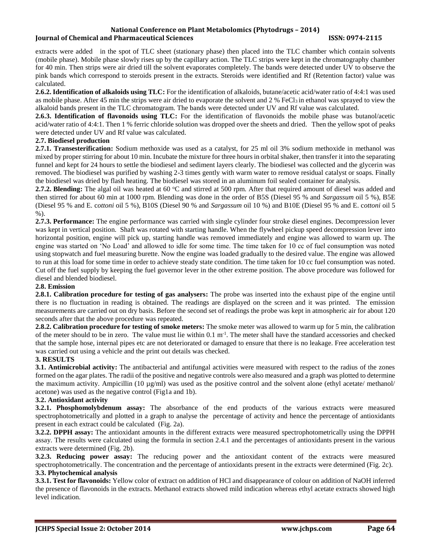extracts were added in the spot of TLC sheet (stationary phase) then placed into the TLC chamber which contain solvents (mobile phase). Mobile phase slowly rises up by the capillary action. The TLC strips were kept in the chromatography chamber for 40 min. Then strips were air dried till the solvent evaporates completely. The bands were detected under UV to observe the pink bands which correspond to steroids present in the extracts. Steroids were identified and Rf (Retention factor) value was calculated.

**2.6.2. Identification of alkaloids using TLC:** For the identification of alkaloids, butane/acetic acid/water ratio of 4:4:1 was used as mobile phase. After 45 min the strips were air dried to evaporate the solvent and 2 % FeCl<sub>3</sub> in ethanol was sprayed to view the alkaloid bands present in the TLC chromatogram. The bands were detected under UV and Rf value was calculated.

**2.6.3. Identification of flavonoids using TLC:** For the identification of flavonoids the mobile phase was butanol/acetic acid/water ratio of 4:4:1. Then 1 % ferric chloride solution was dropped over the sheets and dried. Then the yellow spot of peaks were detected under UV and Rf value was calculated.

# **2.7. Biodiesel production**

**2.7.1. Transesterification:** Sodium methoxide was used as a catalyst, for 25 ml oil 3% sodium methoxide in methanol was mixed by proper stirring for about 10 min. Incubate the mixture for three hours in orbital shaker, then transfer it into the separating funnel and kept for 24 hours to settle the biodiesel and sediment layers clearly. The biodiesel was collected and the glycerin was removed. The biodiesel was purified by washing 2-3 times gently with warm water to remove residual catalyst or soaps. Finally the biodiesel was dried by flash heating. The biodiesel was stored in an aluminum foil sealed container for analysis.

**2.7.2. Blending:** The algal oil was heated at 60 °C and stirred at 500 rpm. After that required amount of diesel was added and then stirred for about 60 min at 1000 rpm. Blending was done in the order of B5S (Diesel 95 % and *Sargassum* oil 5 %), B5E (Diesel 95 % and E. c*ottoni* oil 5 %), B10S (Diesel 90 % and *Sargassum* oil 10 %) and B10E (Diesel 95 % and E. c*ottoni* oil 5 %).

**2.7.3. Performance:** The engine performance was carried with single cylinder four stroke diesel engines. Decompression lever was kept in vertical position. Shaft was rotated with starting handle. When the flywheel pickup speed decompression lever into horizontal position, engine will pick up, starting handle was removed immediately and engine was allowed to warm up. The engine was started on 'No Load' and allowed to idle for some time. The time taken for 10 cc of fuel consumption was noted using stopwatch and fuel measuring burette. Now the engine was loaded gradually to the desired value. The engine was allowed to run at this load for some time in order to achieve steady state condition. The time taken for 10 cc fuel consumption was noted. Cut off the fuel supply by keeping the fuel governor lever in the other extreme position. The above procedure was followed for diesel and blended biodiesel.

# **2.8. Emission**

**2.8.1. Calibration procedure for testing of gas analysers:** The probe was inserted into the exhaust pipe of the engine until there is no fluctuation in reading is obtained. The readings are displayed on the screen and it was printed. The emission measurements are carried out on dry basis. Before the second set of readings the probe was kept in atmospheric air for about 120 seconds after that the above procedure was repeated.

**2.8.2. Calibration procedure for testing of smoke meters:** The smoke meter was allowed to warm up for 5 min, the calibration of the meter should to be in zero. The value must lie within  $0.1 \text{ m}^{-1}$ . The meter shall have the standard accessories and checked that the sample hose, internal pipes etc are not deteriorated or damaged to ensure that there is no leakage. Free acceleration test was carried out using a vehicle and the print out details was checked.

# **3. RESULTS**

**3.1. Antimicrobial activity:** The antibacterial and antifungal activities were measured with respect to the radius of the zones formed on the agar plates. The radii of the positive and negative controls were also measured and a graph was plotted to determine the maximum activity. Ampicillin (10  $\mu$ g/ml) was used as the positive control and the solvent alone (ethyl acetate/ methanol/ acetone) was used as the negative control (Fig1a and 1b).

# **3.2. Antioxidant activity**

**3.2.1. Phosphomolybdenum assay:** The absorbance of the end products of the various extracts were measured spectrophotometrically and plotted in a graph to analyse the percentage of activity and hence the percentage of antioxidants present in each extract could be calculated (Fig. 2a).

**3.2.2. DPPH assay:** The antioxidant amounts in the different extracts were measured spectrophotometrically using the DPPH assay. The results were calculated using the formula in section 2.4.1 and the percentages of antioxidants present in the various extracts were determined (Fig. 2b).

**3.2.3. Reducing power assay:** The reducing power and the antioxidant content of the extracts were measured spectrophotometrically. The concentration and the percentage of antioxidants present in the extracts were determined (Fig. 2c). **3.3. Phytochemical analysis**

**3.3.1. Test for flavonoids:** Yellow color of extract on addition of HCl and disappearance of colour on addition of NaOH inferred the presence of flavonoids in the extracts. Methanol extracts showed mild indication whereas ethyl acetate extracts showed high level indication.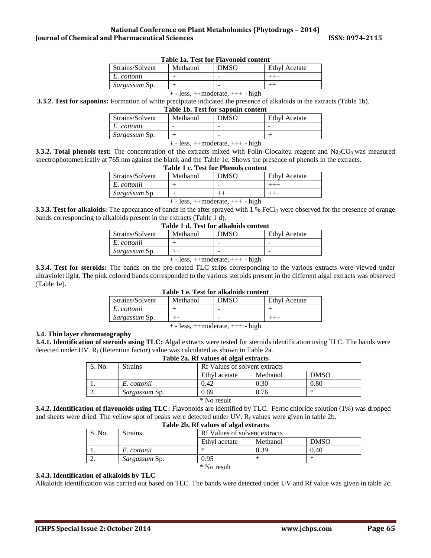| Table Tal Test for Thayonold Content |          |             |               |  |  |
|--------------------------------------|----------|-------------|---------------|--|--|
| Strains/Solvent                      | Methanol | <b>DMSO</b> | Ethyl Acetate |  |  |
| E. cottonii                          |          |             |               |  |  |
| <i>Sargassum Sp.</i>                 |          | -           |               |  |  |
|                                      |          |             |               |  |  |

#### **Table 1a. Test for Flavonoid content**

+ - less, ++moderate, +++ - high

**3.3.2. Test for saponins:** Formation of white precipitate indicated the presence of alkaloids in the extracts (Table 1b).

|                 |                               | Table 1b. Test for saponin content |                             |
|-----------------|-------------------------------|------------------------------------|-----------------------------|
| $\sim$ 1 $\sim$ | $\mathbf{M}$ and $\mathbf{M}$ | $\overline{D}$                     | $\Gamma$ $\Gamma$ $\Lambda$ |

| Strains/Solvent      | Methanol | <b>DMSO</b> | Ethyl Acetate |
|----------------------|----------|-------------|---------------|
| E. cottonii          | -        |             |               |
| <i>Sargassum Sp.</i> |          |             |               |
|                      |          |             |               |

+ - less, ++moderate, +++ - high

**3.3.2. Total phenols test:** The concentration of the extracts mixed with Folin-Ciocalteu reagent and Na<sub>2</sub>CO<sub>3</sub> was measured spectrophotometrically at 765 nm against the blank and the Table 1c. Shows the presence of phenols in the extracts.

### **Table 1 c. Test for Phenols content**

|               |  | <b>Ethyl Acetate</b> |
|---------------|--|----------------------|
| E. cottonii   |  |                      |
| Sargassum Sp. |  |                      |

+ - less, ++moderate, +++ - high

**3.3.3. Test for alkaloids:** The appearance of bands in the after sprayed with 1 % FeCl<sub>3</sub> were observed for the presence of orange bands corresponding to alkaloids present in the extracts (Table 1 d).

| Table 1 d. Test for alkaloids content |          |             |               |  |  |
|---------------------------------------|----------|-------------|---------------|--|--|
| Strains/Solvent                       | Methanol | <b>DMSO</b> | Ethyl Acetate |  |  |
| E. cottonii                           |          |             |               |  |  |
| Sargassum Sp.                         |          |             |               |  |  |
|                                       |          |             |               |  |  |

+ - less, ++moderate, +++ - high

**3.3.4. Test for steroids:** The bands on the pre-coated TLC strips corresponding to the various extracts were viewed under ultraviolet light. The pink colored bands corresponded to the various steroids present in the different algal extracts was observed (Table 1e). **Table 1 e. Test for alkaloids content**

| Table 1 e. Test for analytics content  |          |             |                      |  |  |
|----------------------------------------|----------|-------------|----------------------|--|--|
| Strains/Solvent                        | Methanol | <b>DMSO</b> | <b>Ethyl Acetate</b> |  |  |
| E. cottonii                            |          |             |                      |  |  |
| <i>Sargassum Sp.</i>                   |          | -           |                      |  |  |
| $+$ - less, $++$ moderate, $++$ - high |          |             |                      |  |  |

#### **3.4. Thin layer chromatography**

**3.4.1. Identification of steroids using TLC:** Algal extracts were tested for steroids identification using TLC. The bands were detected under UV. R<sub>f</sub> (Retention factor) value was calculated as shown in Table 2a.

| Table 2a. Rf values of algal extracts |                      |                               |          |             |  |
|---------------------------------------|----------------------|-------------------------------|----------|-------------|--|
| S. No.                                | <b>Strains</b>       | Rf Values of solvent extracts |          |             |  |
|                                       |                      | Ethyl acetate                 | Methanol | <b>DMSO</b> |  |
|                                       | E. cottonii          | 0.42                          | 0.30     | $0.80\,$    |  |
|                                       | <i>Sargassum Sp.</i> | 0.69                          | 0.76     | ∗           |  |
| $\cdots$ $\cdots$<br>$\sim$           |                      |                               |          |             |  |

\* No result

**3.4.2. Identification of flavonoids using TLC:** Flavonoids are identified by TLC. Ferric chloride solution (1%) was dropped and sheets were dried. The yellow spot of peaks were detected under UV.  $R_f$  values were given in table 2b.

| Table 2b. Rf values of algal extracts |                      |                                          |      |      |  |
|---------------------------------------|----------------------|------------------------------------------|------|------|--|
| S. No.                                | <b>Strains</b>       | Rf Values of solvent extracts            |      |      |  |
|                                       |                      | <b>DMSO</b><br>Methanol<br>Ethyl acetate |      |      |  |
|                                       | E. cottonii          | ∗                                        | 0.39 | 0.40 |  |
|                                       | <i>Sargassum Sp.</i> | 0.95                                     | ∗    | *    |  |
| * No result                           |                      |                                          |      |      |  |

#### **3.4.3. Identification of alkaloids by TLC**

Alkaloids identification was carried out based on TLC. The bands were detected under UV and Rf value was given in table 2c.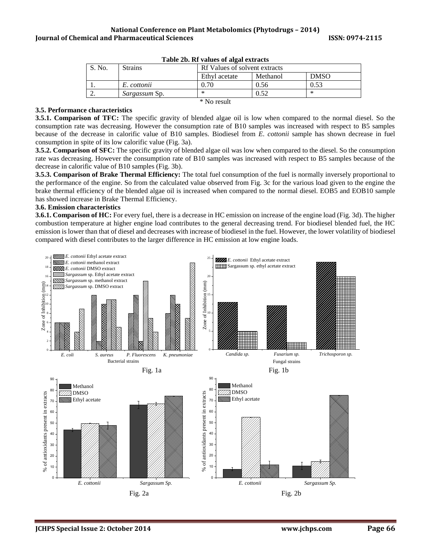|             | TWOD TO THE TWIND OF MILIO CASE MUSIC |                               |          |             |  |  |
|-------------|---------------------------------------|-------------------------------|----------|-------------|--|--|
| S. No.      | <b>Strains</b>                        | Rf Values of solvent extracts |          |             |  |  |
|             |                                       | Ethyl acetate                 | Methanol | <b>DMSO</b> |  |  |
|             | E. cottonii                           | $0.70^{\circ}$                | 0.56     | 0.53        |  |  |
| <u>.</u>    | <i>Sargassum Sp.</i>                  | ∗                             | 0.52     | *           |  |  |
| * No result |                                       |                               |          |             |  |  |

#### **3.5. Performance characteristics**

**3.5.1. Comparison of TFC:** The specific gravity of blended algae oil is low when compared to the normal diesel. So the consumption rate was decreasing. However the consumption rate of B10 samples was increased with respect to B5 samples because of the decrease in calorific value of B10 samples. Biodiesel from *E*. *cottonii* sample has shown decrease in fuel consumption in spite of its low calorific value (Fig. 3a).

**3.5.2. Comparison of SFC:** The specific gravity of blended algae oil was low when compared to the diesel. So the consumption rate was decreasing. However the consumption rate of B10 samples was increased with respect to B5 samples because of the decrease in calorific value of B10 samples (Fig. 3b).

**3.5.3. Comparison of Brake Thermal Efficiency:** The total fuel consumption of the fuel is normally inversely proportional to the performance of the engine. So from the calculated value observed from Fig. 3c for the various load given to the engine the brake thermal efficiency of the blended algae oil is increased when compared to the normal diesel. EOB5 and EOB10 sample has showed increase in Brake Thermal Efficiency.

#### **3.6. Emission characteristics**

**3.6.1. Comparison of HC:** For every fuel, there is a decrease in HC emission on increase of the engine load (Fig. 3d). The higher combustion temperature at higher engine load contributes to the general decreasing trend. For biodiesel blended fuel, the HC emission is lower than that of diesel and decreases with increase of biodiesel in the fuel. However, the lower volatility of biodiesel compared with diesel contributes to the larger difference in HC emission at low engine loads.

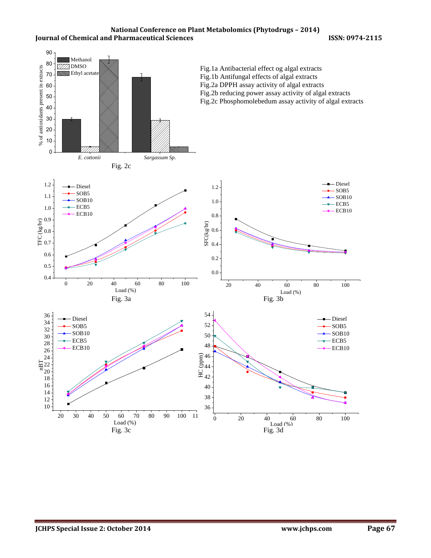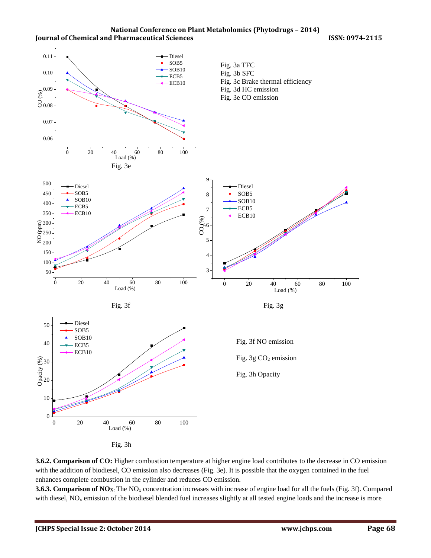



enhances complete combustion in the cylinder and reduces CO emission.

**3.6.3. Comparison of NO<sub>X</sub>:** The NO<sub>x</sub> concentration increases with increase of engine load for all the fuels (Fig. 3f). Compared with diesel,  $NO<sub>x</sub>$  emission of the biodiesel blended fuel increases slightly at all tested engine loads and the increase is more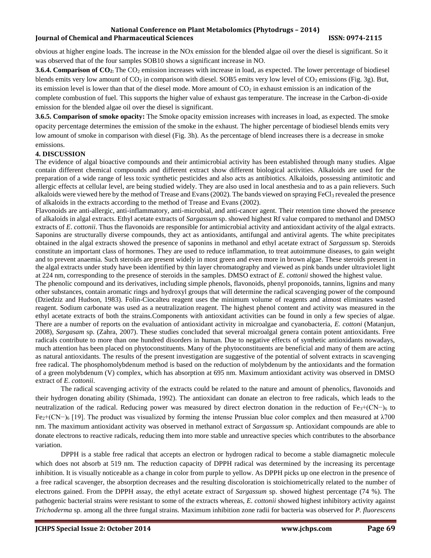obvious at higher engine loads. The increase in the NOx emission for the blended algae oil over the diesel is significant. So it was observed that of the four samples SOB10 shows a significant increase in NO.

**3.6.4. Comparison of CO2:** The CO<sup>2</sup> emission increases with increase in load, as expected. The lower percentage of biodiesel blends emits very low amount of  $CO_2$  in comparison with diesel. SOB5 emits very low level of  $CO_2$  emissions (Fig. 3g). But, its emission level is lower than that of the diesel mode. More amount of  $CO<sub>2</sub>$  in exhaust emission is an indication of the complete combustion of fuel. This supports the higher value of exhaust gas temperature. The increase in the Carbon-di-oxide emission for the blended algae oil over the diesel is significant.

**3.6.5. Comparison of smoke opacity:** The Smoke opacity emission increases with increases in load, as expected. The smoke opacity percentage determines the emission of the smoke in the exhaust. The higher percentage of biodiesel blends emits very low amount of smoke in comparison with diesel (Fig. 3h). As the percentage of blend increases there is a decrease in smoke emissions.

# **4. DISCUSSION**

The evidence of algal bioactive compounds and their antimicrobial activity has been established through many studies. Algae contain different chemical compounds and different extract show different biological activities. Alkaloids are used for the preparation of a wide range of less toxic synthetic pesticides and also acts as antibiotics. Alkaloids, possessing antimitotic and allergic effects at cellular level, are being studied widely. They are also used in local anesthesia and to as a pain relievers. Such alkaloids were viewed here by the method of Trease and Evans (2002). The bands viewed on spraying  $FeCl<sub>3</sub>$  revealed the presence of alkaloids in the extracts according to the method of Trease and Evans (2002).

Flavonoids are anti-allergic, anti-inflammatory, anti-microbial, and anti-cancer agent. Their retention time showed the presence of alkaloids in algal extracts. Ethyl acetate extracts of *Sargassum* sp. showed highest Rf value compared to methanol and DMSO extracts of *E*. *cottonii*. Thus the flavonoids are responsible for antimicrobial activity and antioxidant activity of the algal extracts. Saponins are structurally diverse compounds, they act as antioxidants, antifungal and antiviral agents. The white precipitates obtained in the algal extracts showed the presence of saponins in methanol and ethyl acetate extract of *Sargassum* sp. Steroids constitute an important class of hormones. They are used to reduce inflammation, to treat autoimmune diseases, to gain weight and to prevent anaemia. Such steroids are present widely in most green and even more in brown algae. These steroids present in the algal extracts under study have been identified by thin layer chromatography and viewed as pink bands under ultraviolet light at 224 nm, corresponding to the presence of steroids in the samples. DMSO extract of *E*. *cottonii* showed the highest value.

The phenolic compound and its derivatives, including simple phenols, flavonoids, phenyl proponoids, tannins, lignins and many other substances, contain aromatic rings and hydroxyl groups that will determine the radical scavenging power of the compound (Dziedziz and Hudson, 1983). Folin-Ciocalteu reagent uses the minimum volume of reagents and almost eliminates wasted reagent. Sodium carbonate was used as a neutralization reagent. The highest phenol content and activity was measured in the ethyl acetate extracts of both the strains.Components with antioxidant activities can be found in only a few species of algae. There are a number of reports on the evaluation of antioxidant activity in microalgae and cyanobacteria, *E. cottoni* (Matanjun, 2008)*, Sargasam* sp. (Zahra, 2007). These studies concluded that several microalgal genera contain potent antioxidants. Free radicals contribute to more than one hundred disorders in human. Due to negative effects of synthetic antioxidants nowadays, much attention has been placed on phytoconstituents. Many of the phytoconstituents are beneficial and many of them are acting as natural antioxidants. The results of the present investigation are suggestive of the potential of solvent extracts in scavenging free radical. The phosphomolybdenum method is based on the reduction of molybdenum by the antioxidants and the formation of a green molybdenum (V) complex, which has absorption at 695 nm. Maximum antioxidant activity was observed in DMSO extract of *E*. *cottonii*.

The radical scavenging activity of the extracts could be related to the nature and amount of phenolics, flavonoids and their hydrogen donating ability (Shimada, 1992). The antioxidant can donate an electron to free radicals, which leads to the neutralization of the radical. Reducing power was measured by direct electron donation in the reduction of Fe<sub>3</sub>+(CN−)<sub>6</sub> to Fe2+(CN−)<sup>6</sup> [19]. The product was visualized by forming the intense Prussian blue color complex and then measured at λ700 nm. The maximum antioxidant activity was observed in methanol extract of *Sargassum* sp. Antioxidant compounds are able to donate electrons to reactive radicals, reducing them into more stable and unreactive species which contributes to the absorbance variation.

DPPH is a stable free radical that accepts an electron or hydrogen radical to become a stable diamagnetic molecule which does not absorb at 519 nm. The reduction capacity of DPPH radical was determined by the increasing its percentage inhibition. It is visually noticeable as a change in color from purple to yellow. As DPPH picks up one electron in the presence of a free radical scavenger, the absorption decreases and the resulting discoloration is stoichiometrically related to the number of electrons gained. From the DPPH assay, the ethyl acetate extract of *Sargassum* sp. showed highest percentage (74 %). The pathogenic bacterial strains were resistant to some of the extracts whereas, *E. cottonii* showed highest inhibitory activity against *Trichoderma* sp. among all the three fungal strains. Maximum inhibition zone radii for bacteria was observed for *P. fluorescens*